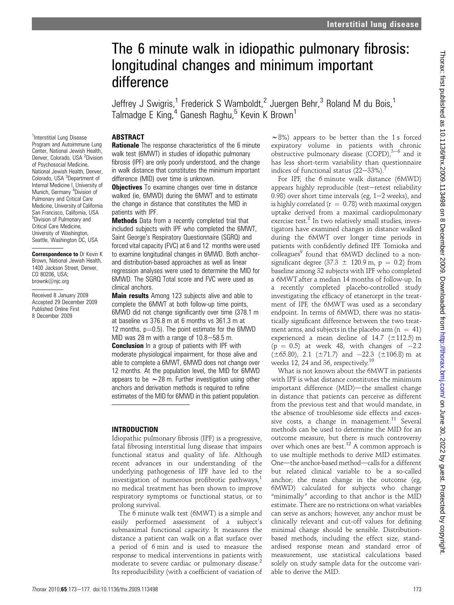# The 6 minute walk in idiopathic pulmonary fibrosis: longitudinal changes and minimum important difference

Jeffrey J Swigris,<sup>1</sup> Frederick S Wamboldt,<sup>2</sup> Juergen Behr,<sup>3</sup> Roland M du Bois,<sup>1</sup> Talmadge E King,<sup>4</sup> Ganesh Raghu,<sup>5</sup> Kevin K Brown<sup>1</sup>

# **ABSTRACT**

<sup>1</sup>Interstitial Lung Disease Program and Autoimmune Lung Center, National Jewish Health, Denver, Colorado, USA <sup>2</sup>Division of Psychosocial Medicine, National Jewish Health, Denver, Colorado, USA <sup>3</sup>Department of Internal Medicine I, University of Munich, Germany <sup>4</sup>Division of Pulmonary and Critical Care Medicine, University of California San Francisco, California, USA 5 Division of Pulmonary and Critical Care Medicine, University of Washington, Seattle, Washington DC, USA

Correspondence to Dr Kevin K Brown, National Jewish Health, 1400 Jackson Street, Denver, CO 80206, USA; brownk@njc.org

Received 8 January 2009 Accepted 29 December 2009 Published Online First 8 December 2009

**Rationale** The response characteristics of the 6 minute walk test (6MWT) in studies of idiopathic pulmonary fibrosis (IPF) are only poorly understood, and the change in walk distance that constitutes the minimum important difference (MID) over time is unknown.

**Objectives** To examine changes over time in distance walked (ie, 6MWD) during the 6MWT and to estimate the change in distance that constitutes the MID in patients with IPF.

**Methods** Data from a recently completed trial that included subjects with IPF who completed the 6MWT, Saint George's Respiratory Questionnaire (SGRQ) and forced vital capacity (FVC) at 6 and 12 months were used to examine longitudinal changes in 6MWD. Both anchorand distribution-based approaches as well as linear regression analyses were used to determine the MID for 6MWD. The SGRQ Total score and FVC were used as clinical anchors.

**Main results** Among 123 subjects alive and able to complete the 6MWT at both follow-up time points, 6MWD did not change significantly over time (378.1 m at baseline vs 376.8 m at 6 months vs 361.3 m at 12 months,  $p=0.5$ ). The point estimate for the 6MWD MID was 28 m with a range of  $10.8 - 58.5$  m.

**Conclusion** In a group of patients with IPF with moderate physiological impairment, for those alive and able to complete a 6MWT, 6MWD does not change over 12 months. At the population level, the MID for 6MWD appears to be  $\sim$  28 m. Further investigation using other anchors and derivation methods is required to refine estimates of the MID for 6MWD in this patient population.

# INTRODUCTION

Idiopathic pulmonary fibrosis (IPF) is a progressive, fatal fibrosing interstitial lung disease that impairs functional status and quality of life. Although recent advances in our understanding of the underlying pathogenesis of IPF have led to the investigation of numerous profibrotic pathways, $<sup>1</sup>$ </sup> no medical treatment has been shown to improve respiratory symptoms or functional status, or to prolong survival.

The 6 minute walk test (6MWT) is a simple and easily performed assessment of a subject's submaximal functional capacity. It measures the distance a patient can walk on a flat surface over a period of 6 min and is used to measure the response to medical interventions in patients with moderate to severe cardiac or pulmonary disease.<sup>2</sup> Its reproducibility (with a coefficient of variation of

 $\sim$ 8%) appears to be better than the 1 s forced expiratory volume in patients with chronic obstructive pulmonary disease (COPD), $3-6$  and it has less short-term variability than questionnaire indices of functional status  $(22-33%)$ .

For IPF, the 6 minute walk distance (6MWD) appears highly reproducible (test-retest reliability 0.98) over short time intervals (eg,  $1-2$  weeks), and is highly correlated ( $r = 0.78$ ) with maximal oxygen uptake derived from a maximal cardiopulmonary exercise test.<sup>8</sup> In two relatively small studies, investigators have examined changes in distance walked during the 6MWT over longer time periods in patients with confidently defined IPF. Tomioka and  $\text{colleagues}^9$  found that 6MWD declined to a nonsignificant degree (37.3  $\pm$  120.9 m, p = 0.2) from baseline among 32 subjects with IPF who completed a 6MWT after a median 14 months of follow-up. In a recently completed placebo-controlled study investigating the efficacy of etanercept in the treatment of IPF, the 6MWT was used as a secondary endpoint. In terms of 6MWD, there was no statistically significant difference between the two treatment arms, and subjects in the placebo arm  $(n = 41)$ experienced a mean decline of  $14.7$  ( $\pm$ 112.5) m  $(p = 0.5)$  at week 48, with changes of  $-2.2$  $(\pm 65.80)$ , 2.1 ( $\pm 71.7$ ) and  $-22.3$  ( $\pm 106.8$ ) m at weeks 12, 24 and 36, respectively.<sup>10</sup>

What is not known about the 6MWT in patients with IPF is what distance constitutes the minimum important difference (MID)-the smallest change in distance that patients can perceive as different from the previous test and that would mandate, in the absence of troublesome side effects and excessive costs, a change in management.<sup>11</sup> Several methods can be used to determine the MID for an outcome measure, but there is much controversy over which ones are best.<sup>12</sup> A common approach is to use multiple methods to derive MID estimates. One-the anchor-based method-calls for a different but related clinical variable to be a so-called anchor; the mean change in the outcome (eg, 6MWD) calculated for subjects who change "minimally" according to that anchor is the MID estimate. There are no restrictions on what variables can serve as anchors; however, any anchor must be clinically relevant and cut-off values for defining minimal change should be sensible. Distributionbased methods, including the effect size, standardised response mean and standard error of measurement, use statistical calculations based solely on study sample data for the outcome variable to derive the MID.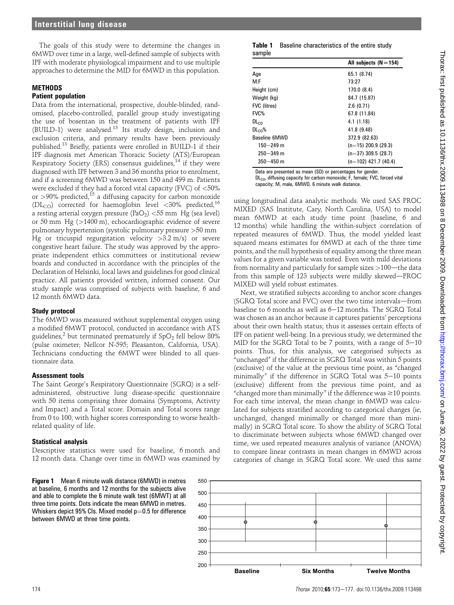The goals of this study were to determine the changes in 6MWD over time in a large, well-defined sample of subjects with IPF with moderate physiological impairment and to use multiple approaches to determine the MID for 6MWD in this population.

## **MFTHODS**

#### Patient population

Data from the international, prospective, double-blinded, randomised, placebo-controlled, parallel group study investigating the use of bosentan in the treatment of patients with IPF (BUILD-1) were analysed.<sup>13</sup> Its study design, inclusion and exclusion criteria, and primary results have been previously published.<sup>13</sup> Briefly, patients were enrolled in BUILD-1 if their IPF diagnosis met American Thoracic Society (ATS)/European Respiratory Society (ERS) consensus guidelines,<sup>14</sup> if they were diagnosed with IPF between 3 and 36 months prior to enrolment, and if a screening 6MWD was between 150 and 499 m. Patients were excluded if they had a forced vital capacity (FVC) of <50% or >90% predicted,<sup>15</sup> a diffusing capacity for carbon monoxide (DL<sub>CO</sub>) corrected for haemoglobin level <30% predicted,<sup>16</sup> a resting arterial oxygen pressure  $(PaO<sub>2</sub>) < 55$  mm Hg (sea level) or 50 mm Hg (>1400 m), echocardiographic evidence of severe pulmonary hypertension (systolic pulmonary pressure >50 mm Hg or tricuspid regurgitation velocity  $>3.2$  m/s) or severe congestive heart failure. The study was approved by the appropriate independent ethics committees or institutional review boards and conducted in accordance with the principles of the Declaration of Helsinki, local laws and guidelines for good clinical practice. All patients provided written, informed consent. Our study sample was comprised of subjects with baseline, 6 and 12 month 6MWD data.

## Study protocol

The 6MWD was measured without supplemental oxygen using a modified 6MWT protocol, conducted in accordance with ATS guidelines,<sup>2</sup> but terminated prematurely if  $SpO<sub>2</sub>$  fell below 80% (pulse oximeter; Nellcor N-595; Pleasanton, California, USA). Technicians conducting the 6MWT were blinded to all questionnaire data.

#### Assessment tools

The Saint George's Respiratory Questionnaire (SGRQ) is a selfadministered, obstructive lung disease-specific questionnaire with 50 items comprising three domains (Symptoms, Activity and Impact) and a Total score. Domain and Total scores range from 0 to 100, with higher scores corresponding to worse healthrelated quality of life.

#### Statistical analysis

Descriptive statistics were used for baseline, 6 month and 12 month data. Change over time in 6MWD was examined by

Figure 1 Mean 6 minute walk distance (6MWD) in metres at baseline, 6 months and 12 months for the subjects alive and able to complete the 6 minute walk test (6MWT) at all three time points. Dots indicate the mean 6MWD in metres. Whiskers depict 95% CIs. Mixed model  $p=0.5$  for difference between 6MWD at three time points.

#### Table 1 Baseline characteristics of the entire study sample

|                     | All subjects $(N = 154)$ |
|---------------------|--------------------------|
| Age                 | 65.1 (8.74)              |
| M:F                 | 73:27                    |
| Height (cm)         | 170.0 (8.4)              |
| Weight (kg)         | 84.7 (15.87)             |
| <b>FVC</b> (litres) | 2.6(0.71)                |
| FVC%                | 67.8 (11.84)             |
| DL <sub>CO</sub>    | 4.1 (1.18)               |
| DL <sub>CD</sub> %  | 41.8 (9.48)              |
| Baseline 6MWD       | 372.9 (82.63)            |
| $150 - 249$ m       | $(n=15)$ 200.9 (29.3)    |
| $250 - 349$ m       | $(n=37)$ 309.5 (28.7)    |
| $350 - 450$ m       | $(n=102)$ 421.7 (40.4)   |

Data are presented as mean (SD) or percentages for gender. DL<sub>co</sub>, diffusing capacity for carbon monoxide; F, female: FVC, forced vital capacity; M, male, 6MWD, 6 minute walk distance.

using longitudinal data analytic methods. We used SAS PROC MIXED (SAS Institute, Cary, North Carolina, USA) to model mean 6MWD at each study time point (baseline, 6 and 12 months) while handling the within-subject correlation of repeated measures of 6MWD. Thus, the model yielded least squared means estimates for 6MWD at each of the three time points, and the null hypothesis of equality among the three mean values for a given variable was tested. Even with mild deviations from normality and particularly for sample sizes  $>100$ —the data from this sample of 123 subjects were mildly skewed-PROC MIXED will yield robust estimates.

Next, we stratified subjects according to anchor score changes (SGRQ Total score and FVC) over the two time intervals-from baseline to  $6$  months as well as  $6-12$  months. The SGRQ Total was chosen as an anchor because it captures patients' perceptions about their own health status; thus it assesses certain effects of IPF on patient well-being. In a previous study, we determined the MID for the SGRQ Total to be 7 points, with a range of  $5-10$ points. Thus, for this analysis, we categorised subjects as "unchanged" if the difference in SGRQ Total was within 5 points (exclusive) of the value at the previous time point, as "changed minimally" if the difference in SGRQ Total was  $5-10$  points (exclusive) different from the previous time point, and as "changed more than minimally" if the difference was  $\geq 10$  points. For each time interval, the mean change in 6MWD was calculated for subjects stratified according to categorical changes (ie, unchanged, changed minimally or changed more than minimally) in SGRQ Total score. To show the ability of SGRQ Total to discriminate between subjects whose 6MWD changed over time, we used repeated measures analysis of variance (ANOVA) to compare linear contrasts in mean changes in 6MWD across categories of change in SGRQ Total score. We used this same

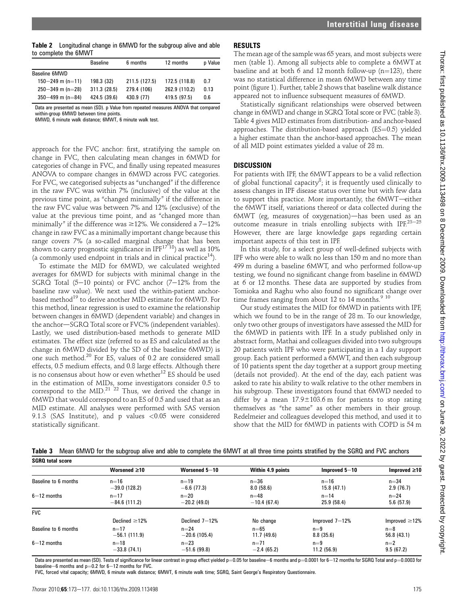Table 2 Longitudinal change in 6MWD for the subgroup alive and able to complete the 6MWT

|                      | <b>Baseline</b> | 6 months      | 12 months     | p Value |
|----------------------|-----------------|---------------|---------------|---------|
| Baseline 6MWD        |                 |               |               |         |
| $150 - 249$ m (n=11) | 198.3 (32)      | 211.5 (127.5) | 172.5 (118.8) | 0.7     |
| $250 - 349$ m (n=28) | 311.3 (28.5)    | 279.4 (106)   | 262.9 (110.2) | 0.13    |
| 350-499 m (n=84)     | 424.5 (39.6)    | 430.9 (77)    | 419.5 (97.5)  | 0.6     |
|                      |                 |               |               |         |

Data are presented as mean (SD). p Value from repeated measures ANOVA that compared within-group 6MWD between time points.

6MWD, 6 minute walk distance; 6MWT, 6 minute walk test.

approach for the FVC anchor: first, stratifying the sample on change in FVC, then calculating mean changes in 6MWD for categories of change in FVC, and finally using repeated measures ANOVA to compare changes in 6MWD across FVC categories. For FVC, we categorised subjects as "unchanged" if the difference in the raw FVC was within 7% (inclusive) of the value at the previous time point, as "changed minimally" if the difference in the raw FVC value was between 7% and 12% (exclusive) of the value at the previous time point, and as "changed more than minimally" if the difference was  $\geq$ 12%. We considered a 7-12% change in raw FVC as a minimally important change because this range covers 7% (a so-called marginal change that has been shown to carry prognostic significance in IPF<sup>1718</sup>) as well as 10% (a commonly used endpoint in trials and in clinical practice<sup>14</sup>).

To estimate the MID for 6MWD, we calculated weighted averages for 6MWD for subjects with minimal change in the SGRQ Total  $(5-10 \text{ points})$  or FVC anchor  $(7-12\% \text{ from the}$ baseline raw value). We next used the within-patient anchorbased method<sup>19</sup> to derive another MID estimate for 6MWD. For this method, linear regression is used to examine the relationship between changes in 6MWD (dependent variable) and changes in the anchor—SGRQ Total score or FVC% (independent variables). Lastly, we used distribution-based methods to generate MID estimates. The effect size (referred to as ES and calculated as the change in 6MWD divided by the SD of the baseline 6MWD) is one such method.<sup>20</sup> For ES, values of 0.2 are considered small effects, 0.5 medium effects, and 0.8 large effects. Although there is no consensus about how or even whether<sup>12</sup> ES should be used in the estimation of MIDs, some investigators consider 0.5 to correspond to the  $MID<sup>21</sup>$ <sup>22</sup> Thus, we derived the change in 6MWD that would correspond to an ES of 0.5 and used that as an MID estimate. All analyses were performed with SAS version 9.1.3 (SAS Institute), and p values <0.05 were considered statistically significant.

## RESULTS

The mean age of the sample was 65 years, and most subjects were men (table 1). Among all subjects able to complete a 6MWT at baseline and at both 6 and 12 month follow-up ( $n=123$ ), there was no statistical difference in mean 6MWD between any time point (figure 1). Further, table 2 shows that baseline walk distance appeared not to influence subsequent measures of 6MWD.

Statistically significant relationships were observed between change in 6MWD and change in SGRQ Total score or FVC (table 3). Table 4 gives MID estimates from distribution- and anchor-based approaches. The distribution-based approach  $(ES=0.5)$  yielded a higher estimate than the anchor-based approaches. The mean of all MID point estimates yielded a value of 28 m.

# **DISCUSSION**

For patients with IPF, the 6MWT appears to be a valid reflection of global functional capacity $8$ ; it is frequently used clinically to assess changes in IPF disease status over time but with few data to support this practice. More importantly, the  $6MWT$ -either the 6MWT itself, variations thereof or data collected during the  $6MWT$  (eg, measures of oxygenation)—has been used as an outcome measure in trials enrolling subjects with IPF. $23-25$ However, there are large knowledge gaps regarding certain important aspects of this test in IPF.

In this study, for a select group of well-defined subjects with IPF who were able to walk no less than 150 m and no more than 499 m during a baseline 6MWT, and who performed follow-up testing, we found no significant change from baseline in 6MWD at 6 or 12 months. These data are supported by studies from Tomioka and Raghu who also found no significant change over time frames ranging from about 12 to 14 months. $910$ 

Our study estimates the MID for 6MWD in patients with IPF, which we found to be in the range of 28 m. To our knowledge, only two other groups of investigators have assessed the MID for the 6MWD in patients with IPF. In a study published only in abstract form, Mathai and colleagues divided into two subgroups 20 patients with IPF who were participating in a 1 day support group. Each patient performed a 6MWT, and then each subgroup of 10 patients spent the day together at a support group meeting (details not provided). At the end of the day, each patient was asked to rate his ability to walk relative to the other members in his subgroup. These investigators found that 6MWD needed to differ by a mean  $17.9 \pm 103.6$  m for patients to stop rating themselves as "the same" as other members in their group. Redelmeier and colleagues developed this method, and used it to show that the MID for 6MWD in patients with COPD is 54 m

Table 3 Mean 6MWD for the subgroup alive and able to complete the 6MWT at all three time points stratified by the SGRQ and FVC anchors SGRO total score

| ounu wa oooro        |                     |                |                   |                  |                     |  |
|----------------------|---------------------|----------------|-------------------|------------------|---------------------|--|
|                      | Worsened $\geq 10$  | Worsened 5-10  | Within 4.9 points | Improved $5-10$  | Improved $\geq 10$  |  |
| Baseline to 6 months | $n=16$              | $n=19$         | $n=36$            | $n=16$           | $n=34$              |  |
|                      | $-39.0$ (128.2)     | $-6.6(77.3)$   | 8.0(58.6)         | 15.8(47.1)       | 2.9(76.7)           |  |
| $6 - 12$ months      | $n=17$              | $n=20$         | $n=48$            | $n=14$           | $n=24$              |  |
|                      | $-84.6(111.2)$      | $-20.2(49.0)$  | $-10.4(67.4)$     | 25.9 (58.4)      | 5.6(57.9)           |  |
| <b>FVC</b>           |                     |                |                   |                  |                     |  |
|                      | Declined $\geq$ 12% | Declined 7-12% | No change         | Improved $7-12%$ | Improved $\geq$ 12% |  |
| Baseline to 6 months | $n=17$              | $n = 24$       | $n=65$            | $n=9$            | $n=8$               |  |
|                      | $-56.1(111.9)$      | $-20.6(105.4)$ | 11.7(49.6)        | 8.8(35.6)        | 56.8(43.1)          |  |
| $6 - 12$ months      | $n=18$              | $n=23$         | $n = 71$          | $n=9$            | $n=2$               |  |
|                      | $-33.8(74.1)$       | $-51.6(99.8)$  | $-2.4(65.2)$      | 11.2(56.9)       | 9.5(67.2)           |  |

Data are presented as mean (SD). Tests of significance for linear contrast in group effect yielded p=0.05 for baseline-6 months and p=0.0001 for 6-12 months for SGRQ Total and p=0.0003 for baseline-6 months and  $p=0.2$  for 6-12 months for FVC.

FVC, forced vital capacity; 6MWD, 6 minute walk distance; 6MWT, 6 minute walk time; SGRQ, Saint George's Respiratory Questionnaire.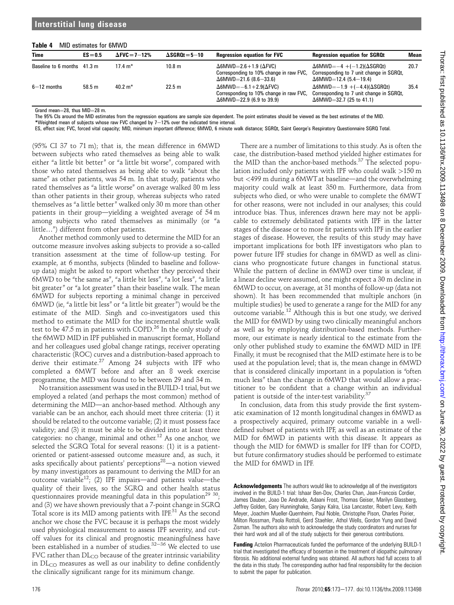#### Table 4 MID estimates for 6MWD

| <b>Time</b>                 | $ES = 0.5$ | $\Delta$ FVC = 7 $-12\%$ | $\Delta$ SGROt = 5–10 | <b>Regression equation for FVC</b>                                                                                   | <b>Regression equation for SGRQt</b>                                                                                          | Mean |
|-----------------------------|------------|--------------------------|-----------------------|----------------------------------------------------------------------------------------------------------------------|-------------------------------------------------------------------------------------------------------------------------------|------|
| Baseline to 6 months 41.3 m |            | 17.4 $m^*$               | 10.8 m                | $\Delta$ 6MWD=2.6+1.9 ( $\Delta$ FVC)<br>Corresponding to 10% change in raw FVC,<br>$\Delta$ 6MWD=21.6 (8.6-33.6)    | $\Delta$ 6MWD= $-4$ +( $-1.2$ )( $\Delta$ SGRQt)<br>Corresponding to 7 unit change in SGRQt,<br>$\Delta$ 6MWD=12.4 (5.4-19.4) | 20.7 |
| $6 - 12$ months             | 58.5 m     | $40.2 \text{ m}^*$       | 22.5 m                | $\Delta$ 6MWD=-6.1+2.9( $\Delta$ FVC)<br>Corresponding to 10% change in raw FVC,<br>$\Delta$ 6MWD=22.9 (6.9 to 39.9) | $\Delta$ 6MWD=-1.9 +(-4.4)( $\Delta$ SGRQt)<br>Corresponding to 7 unit change in SGRQt,<br>$\Delta$ 6MWD=32.7 (25 to 41.1)    | 35.4 |

Grand mean=28, thus  $MID=28$  m.

The 95% CIs around the MID estimates from the regression equations are sample size dependent. The point estimates should be viewed as the best estimates of the MID.

\*Weighted mean of subjects whose raw FVC changed by  $7-12%$  over the indicated time interval.

ES, effect size; FVC, forced vital capacity; MID, minimum important difference; 6MWD, 6 minute walk distance; SGRQt, Saint George's Respiratory Questionnaire SGRQ Total.

(95% CI 37 to 71 m); that is, the mean difference in 6MWD between subjects who rated themselves as being able to walk either "a little bit better" or "a little bit worse", compared with those who rated themselves as being able to walk "about the same" as other patients, was 54 m. In that study, patients who rated themselves as "a little worse" on average walked 80 m less than other patients in their group, whereas subjects who rated themselves as "a little better" walked only 30 m more than other patients in their group—yielding a weighted average of  $54 \text{ m}$ among subjects who rated themselves as minimally (or "a little...") different from other patients.

Another method commonly used to determine the MID for an outcome measure involves asking subjects to provide a so-called transition assessment at the time of follow-up testing. For example, at 6 months, subjects (blinded to baseline and followup data) might be asked to report whether they perceived their 6MWD to be "the same as", "a little bit less", "a lot less", "a little bit greater" or "a lot greater" than their baseline walk. The mean 6MWD for subjects reporting a minimal change in perceived 6MWD (ie, "a little bit less" or "a little bit greater") would be the estimate of the MID. Singh and co-investigators used this method to estimate the MID for the incremental shuttle walk test to be 47.5 m in patients with COPD.<sup>26</sup> In the only study of the 6MWD MID in IPF published in manuscript format, Holland and her colleagues used global change ratings, receiver operating characteristic (ROC) curves and a distribution-based approach to derive their estimate.<sup>27</sup> Among 24 subjects with IPF who completed a 6MWT before and after an 8 week exercise programme, the MID was found to be between 29 and 34 m.

No transition assessment was used in the BUILD-1 trial, but we employed a related (and perhaps the most common) method of determining the MID—an anchor-based method. Although any variable can be an anchor, each should meet three criteria: (1) it should be related to the outcome variable; (2) it must possess face validity; and (3) it must be able to be divided into at least three categories: no change, minimal and other.<sup>12</sup> As one anchor, we selected the SGRQ Total for several reasons: (1) it is a patientoriented or patient-assessed outcome measure and, as such, it asks specifically about patients' perceptions<sup>28</sup>—a notion viewed by many investigators as paramount to deriving the MID for an outcome variable<sup>12</sup>; (2) IPF impairs—and patients value—the quality of their lives, so the SGRQ and other health status questionnaires provide meaningful data in this population<sup>29 30</sup>; and (3) we have shown previously that a 7-point change in SGRQ Total score is its MID among patients with IPF.<sup>31</sup> As the second anchor we chose the FVC because it is perhaps the most widely used physiological measurement to assess IPF severity, and cutoff values for its clinical and prognostic meaningfulness have been established in a number of studies.<sup>32-36</sup> We elected to use FVC rather than  $DL_{CO}$  because of the greater intrinsic variability in  $DL<sub>CO</sub>$  measures as well as our inability to define confidently the clinically significant range for its minimum change.

case, the distribution-based method yielded higher estimates for the MID than the anchor-based methods.<sup>37</sup> The selected population included only patients with IPF who could walk  $>150$  m but  $\langle 499 \rangle$  m during a 6MWT at baseline—and the overwhelming majority could walk at least 350 m. Furthermore, data from subjects who died, or who were unable to complete the 6MWT for other reasons, were not included in our analyses; this could introduce bias. Thus, inferences drawn here may not be applicable to extremely debilitated patients with IPF in the latter stages of the disease or to more fit patients with IPF in the earlier stages of disease. However, the results of this study may have important implications for both IPF investigators who plan to power future IPF studies for change in 6MWD as well as clinicians who prognosticate future changes in functional status. While the pattern of decline in 6MWD over time is unclear, if a linear decline were assumed, one might expect a 30 m decline in 6MWD to occur, on average, at 31 months of follow-up (data not shown). It has been recommended that multiple anchors (in multiple studies) be used to generate a range for the MID for any outcome variable.<sup>12</sup> Although this is but one study, we derived the MID for 6MWD by using two clinically meaningful anchors as well as by employing distribution-based methods. Furthermore, our estimate is nearly identical to the estimate from the only other published study to examine the 6MWD MID in IPF. Finally, it must be recognised that the MID estimate here is to be used at the population level; that is, the mean change in 6MWD that is considered clinically important in a population is "often much less" than the change in 6MWD that would allow a practitioner to be confident that a change within an individual patient is outside of the inter-test variability.<sup>37</sup>

There are a number of limitations to this study. As is often the

In conclusion, data from this study provide the first systematic examination of 12 month longitudinal changes in 6MWD as a prospectively acquired, primary outcome variable in a welldefined subset of patients with IPF, as well as an estimate of the MID for 6MWD in patients with this disease. It appears as though the MID for 6MWD is smaller for IPF than for COPD, but future confirmatory studies should be performed to estimate the MID for 6MWD in IPF.

Acknowledgements The authors would like to acknowledge all of the investigators involved in the BUILD-1 trial: Ishaar Ben-Dov, Charles Chan, Jean-Francois Cordier, James Dauber, Joao De Andrade, Adaani Frost, Thomas Geiser, Marilyn Glassberg, Jeffrey Golden, Gary Hunninghake, Sanjay Kalra, Lisa Lancaster, Robert Levy, Keith Meyer, Joachim Mueller-Quernheim, Paul Noble, Christophe Pison, Charles Poirier, Milton Rossman, Paola Rottoli, Gerd Staehler, Athol Wells, Gordon Yung and David Zisman. The authors also wish to acknowledge the study coordinators and nurses for their hard work and all of the study subjects for their generous contributions.

Funding Actelion Pharmaceuticals funded the performance of the underlying BUILD-1 trial that investigated the efficacy of bosentan in the treatment of idiopathic pulmonary fibrosis. No additional external funding was obtained. All authors had full access to all the data in this study. The corresponding author had final responsibility for the decision to submit the paper for publication.